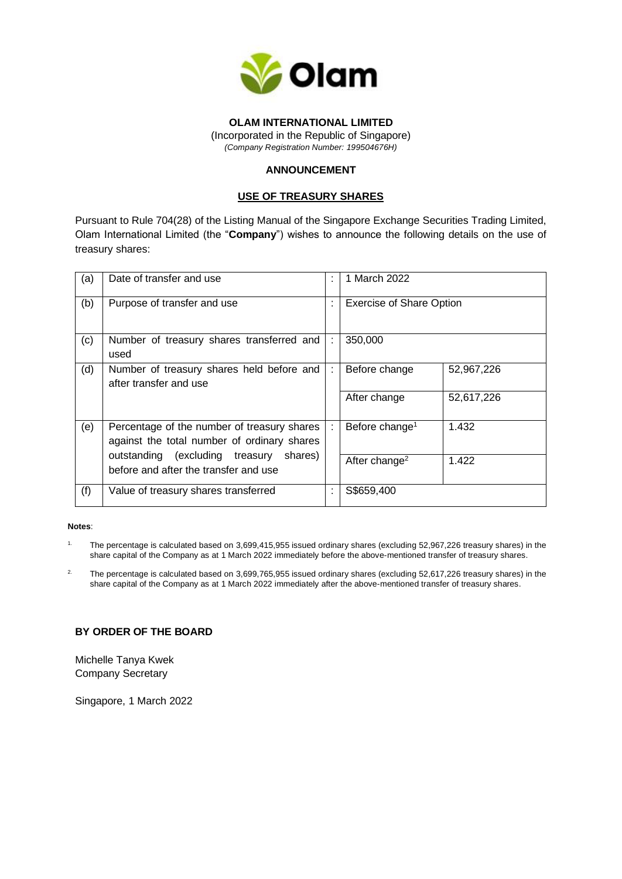

## **OLAM INTERNATIONAL LIMITED**

(Incorporated in the Republic of Singapore) *(Company Registration Number: 199504676H)*

# **ANNOUNCEMENT**

### **USE OF TREASURY SHARES**

Pursuant to Rule 704(28) of the Listing Manual of the Singapore Exchange Securities Trading Limited, Olam International Limited (the "**Company**") wishes to announce the following details on the use of treasury shares:

| (a) | Date of transfer and use                                                                   | ÷ | 1 March 2022                    |            |
|-----|--------------------------------------------------------------------------------------------|---|---------------------------------|------------|
| (b) | Purpose of transfer and use                                                                | ÷ | <b>Exercise of Share Option</b> |            |
| (c) | Number of treasury shares transferred and<br>used                                          |   | 350,000                         |            |
| (d) | Number of treasury shares held before and<br>after transfer and use                        | ÷ | Before change                   | 52,967,226 |
|     |                                                                                            |   | After change                    | 52,617,226 |
| (e) | Percentage of the number of treasury shares<br>against the total number of ordinary shares | ÷ | Before change <sup>1</sup>      | 1.432      |
|     | outstanding (excluding treasury shares)<br>before and after the transfer and use           |   | After change <sup>2</sup>       | 1.422      |
| (f) | Value of treasury shares transferred                                                       |   | S\$659,400                      |            |

### **Notes**:

- 1. The percentage is calculated based on 3,699,415,955 issued ordinary shares (excluding 52,967,226 treasury shares) in the share capital of the Company as at 1 March 2022 immediately before the above-mentioned transfer of treasury shares.
- <sup>2.</sup> The percentage is calculated based on 3,699,765,955 issued ordinary shares (excluding 52,617,226 treasury shares) in the share capital of the Company as at 1 March 2022 immediately after the above-mentioned transfer of treasury shares.

## **BY ORDER OF THE BOARD**

Michelle Tanya Kwek Company Secretary

Singapore, 1 March 2022